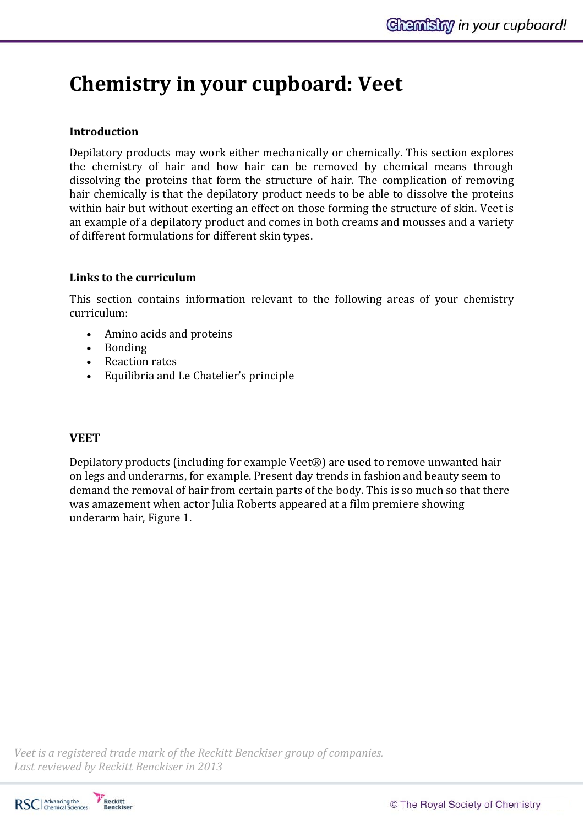# **Chemistry in your cupboard: Veet**

## **Introduction**

Depilatory products may work either mechanically or chemically. This section explores the chemistry of hair and how hair can be removed by chemical means through dissolving the proteins that form the structure of hair. The complication of removing hair chemically is that the depilatory product needs to be able to dissolve the proteins within hair but without exerting an effect on those forming the structure of skin. Veet is an example of a depilatory product and comes in both creams and mousses and a variety of different formulations for different skin types.

## **Links to the curriculum**

This section contains information relevant to the following areas of your chemistry curriculum: 

- Amino acids and proteins
- Bonding
- Reaction rates
- Equilibria and Le Chatelier's principle

## **VEET**

Depilatory products (including for example Veet®) are used to remove unwanted hair on legs and underarms, for example. Present day trends in fashion and beauty seem to demand the removal of hair from certain parts of the body. This is so much so that there was amazement when actor Julia Roberts appeared at a film premiere showing underarm hair, Figure 1. 

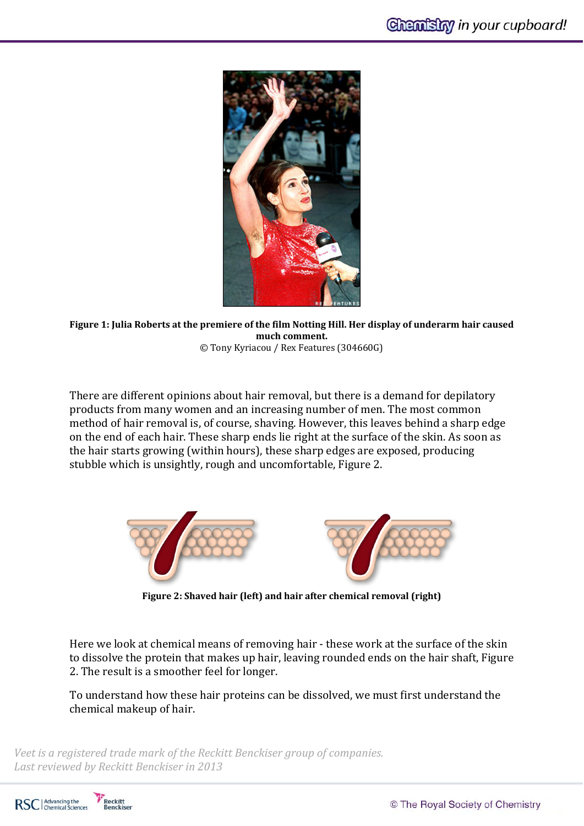

Figure 1: Julia Roberts at the premiere of the film Notting Hill. Her display of underarm hair caused  $much$  **comment.** © Tony Kyriacou / Rex Features (304660G)

There are different opinions about hair removal, but there is a demand for depilatory products from many women and an increasing number of men. The most common method of hair removal is, of course, shaving. However, this leaves behind a sharp edge on the end of each hair. These sharp ends lie right at the surface of the skin. As soon as the hair starts growing (within hours), these sharp edges are exposed, producing stubble which is unsightly, rough and uncomfortable, Figure 2.



**Figure 2: Shaved hair (left) and hair after chemical removal (right)**

Here we look at chemical means of removing hair - these work at the surface of the skin to dissolve the protein that makes up hair, leaving rounded ends on the hair shaft, Figure 2. The result is a smoother feel for longer.

To understand how these hair proteins can be dissolved, we must first understand the chemical makeup of hair.

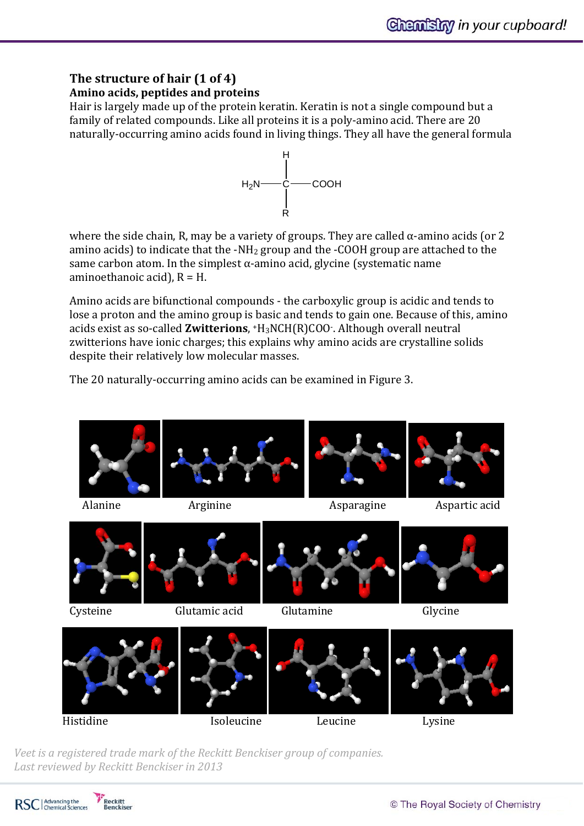## **The structure of hair (1 of 4) Amino acids, peptides and proteins**

Hair is largely made up of the protein keratin. Keratin is not a single compound but a family of related compounds. Like all proteins it is a poly-amino acid. There are 20 naturally-occurring amino acids found in living things. They all have the general formula



where the side chain, R, may be a variety of groups. They are called  $\alpha$ -amino acids (or 2 amino acids) to indicate that the -NH<sub>2</sub> group and the -COOH group are attached to the same carbon atom. In the simplest  $\alpha$ -amino acid, glycine (systematic name aminoethanoic acid),  $R = H$ .

Amino acids are bifunctional compounds - the carboxylic group is acidic and tends to lose a proton and the amino group is basic and tends to gain one. Because of this, amino acids exist as so-called **Zwitterions**,  $H_3NCH(R)COO$ . Although overall neutral zwitterions have ionic charges; this explains why amino acids are crystalline solids despite their relatively low molecular masses.

The 20 naturally-occurring amino acids can be examined in Figure 3.



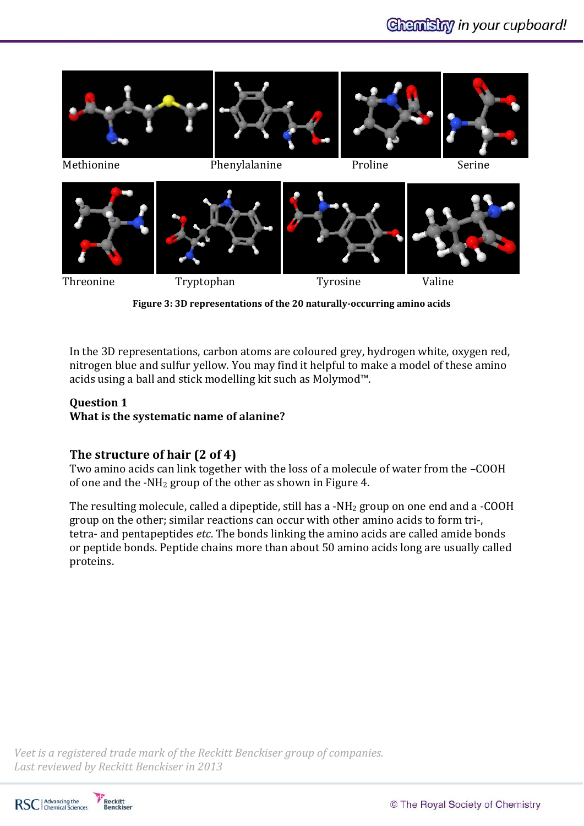

**Figure 3: 3D representations of the 20 naturally‐occurring amino acids**

In the 3D representations, carbon atoms are coloured grey, hydrogen white, oxygen red, nitrogen blue and sulfur yellow. You may find it helpful to make a model of these amino acids using a ball and stick modelling kit such as Molymod<sup> $m$ </sup>.

#### **Question 1**

**What is the systematic name of alanine?**

## **The structure of hair (2 of 4)**

Two amino acids can link together with the loss of a molecule of water from the -COOH of one and the -NH<sub>2</sub> group of the other as shown in Figure 4.

The resulting molecule, called a dipeptide, still has a -NH<sub>2</sub> group on one end and a -COOH group on the other; similar reactions can occur with other amino acids to form tri-, tetra- and pentapeptides *etc*. The bonds linking the amino acids are called amide bonds or peptide bonds. Peptide chains more than about 50 amino acids long are usually called proteins. 

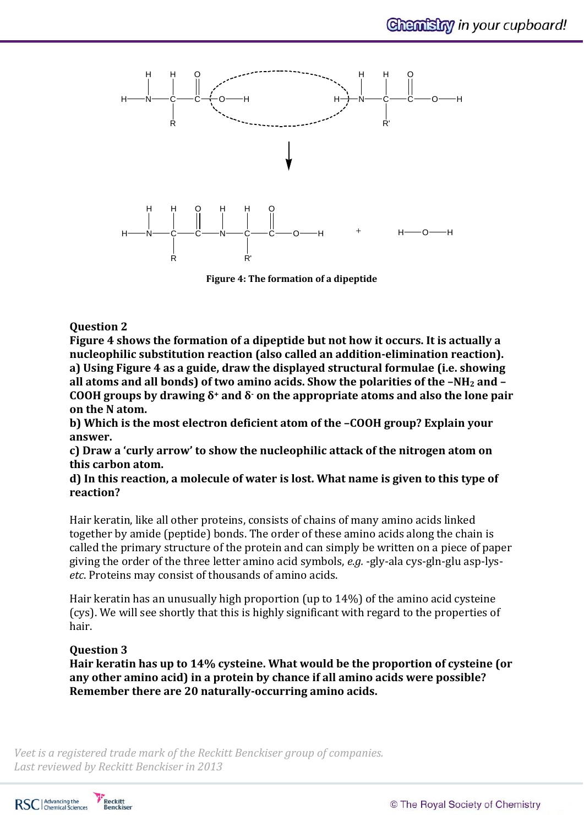

**Figure 4: The formation of a dipeptide**

#### **Question 2**

**Figure 4 shows the formation of a dipeptide but not how it occurs. It is actually a nucleophilic substitution reaction (also called an addition‐elimination reaction). a) Using Figure 4 as a guide, draw the displayed structural formulae (i.e. showing all atoms and all bonds) of two amino acids. Show the polarities of the –NH2 and – COOH groups by drawing δ<sup>+</sup> and δ‐ on the appropriate atoms and also the lone pair on** the N atom.

**b) Which is the most electron deficient atom of the –COOH group? Explain your** answer.

**c) Draw a 'curly arrow' to show the nucleophilic attack of the nitrogen atom on this carbon atom.**

**d) In this reaction, a molecule of water is lost. What name is given to this type of reaction?**

Hair keratin, like all other proteins, consists of chains of many amino acids linked together by amide (peptide) bonds. The order of these amino acids along the chain is called the primary structure of the protein and can simply be written on a piece of paper giving the order of the three letter amino acid symbols, *e.g.* -gly-ala cys-gln-glu asp-lysetc. Proteins may consist of thousands of amino acids.

Hair keratin has an unusually high proportion (up to  $14\%$ ) of the amino acid cysteine (cys). We will see shortly that this is highly significant with regard to the properties of hair. 

#### **Question 3**

**Hair keratin has up to 14% cysteine. What would be the proportion of cysteine (or any other amino acid) in a protein by chance if all amino acids were possible? Remember there are 20 naturally‐occurring amino acids.**

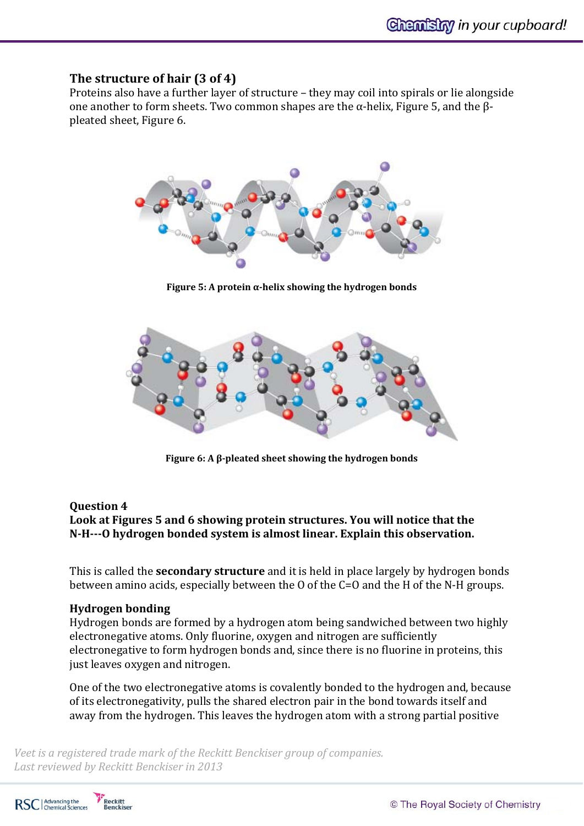## **The structure of hair (3 of 4)**

Proteins also have a further layer of structure – they may coil into spirals or lie alongside one another to form sheets. Two common shapes are the  $\alpha$ -helix. Figure 5, and the  $\beta$ pleated sheet, Figure 6.



**Figure 5: A protein α‐helix showing the hydrogen bonds**



**Figure 6: A β‐pleated sheet showing the hydrogen bonds**

#### **Question 4**

**Look at Figures 5 and 6 showing protein structures. You will notice that the N‐H‐‐‐O hydrogen bonded system is almost linear. Explain this observation.**

This is called the **secondary structure** and it is held in place largely by hydrogen bonds between amino acids, especially between the  $0$  of the  $C=0$  and the H of the N-H groups.

#### **Hydrogen bonding**

Hydrogen bonds are formed by a hydrogen atom being sandwiched between two highly electronegative atoms. Only fluorine, oxygen and nitrogen are sufficiently electronegative to form hydrogen bonds and, since there is no fluorine in proteins, this just leaves oxygen and nitrogen.

One of the two electronegative atoms is covalently bonded to the hydrogen and, because of its electronegativity, pulls the shared electron pair in the bond towards itself and away from the hydrogen. This leaves the hydrogen atom with a strong partial positive

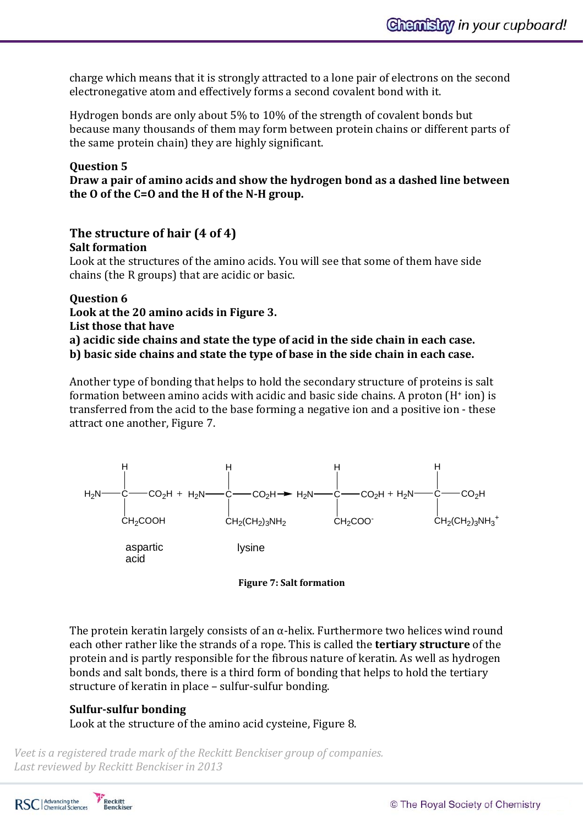charge which means that it is strongly attracted to a lone pair of electrons on the second electronegative atom and effectively forms a second covalent bond with it.

Hydrogen bonds are only about  $5\%$  to  $10\%$  of the strength of covalent bonds but because many thousands of them may form between protein chains or different parts of the same protein chain) they are highly significant.

#### **Question 5**

**Draw a pair of amino acids and show the hydrogen bond as a dashed line between the O of the C=O and the H of the N‐H group.**

#### **The structure of hair (4 of 4) Salt formation**

Look at the structures of the amino acids. You will see that some of them have side chains (the R groups) that are acidic or basic.

**Question 6 Look at the 20 amino acids in Figure 3. List those that have a) acidic side chains and state the type of acid in the side chain in each case. b) basic side chains and state the type of base in the side chain in each case.**

Another type of bonding that helps to hold the secondary structure of proteins is salt formation between amino acids with acidic and basic side chains. A proton  $(H<sup>+</sup>$  ion) is transferred from the acid to the base forming a negative ion and a positive ion - these attract one another, Figure 7.





The protein keratin largely consists of an  $\alpha$ -helix. Furthermore two helices wind round each other rather like the strands of a rope. This is called the **tertiary structure** of the protein and is partly responsible for the fibrous nature of keratin. As well as hydrogen bonds and salt bonds, there is a third form of bonding that helps to hold the tertiary structure of keratin in place – sulfur-sulfur bonding.

## **Sulfur‐sulfur bonding**

Look at the structure of the amino acid cysteine, Figure 8.

*Veet is a registered trade mark of the Reckitt Benckiser group of companies. Last reviewed by Reckitt Benckiser in 2013*

Reckitt<br>Benckiser RSC | Advancing the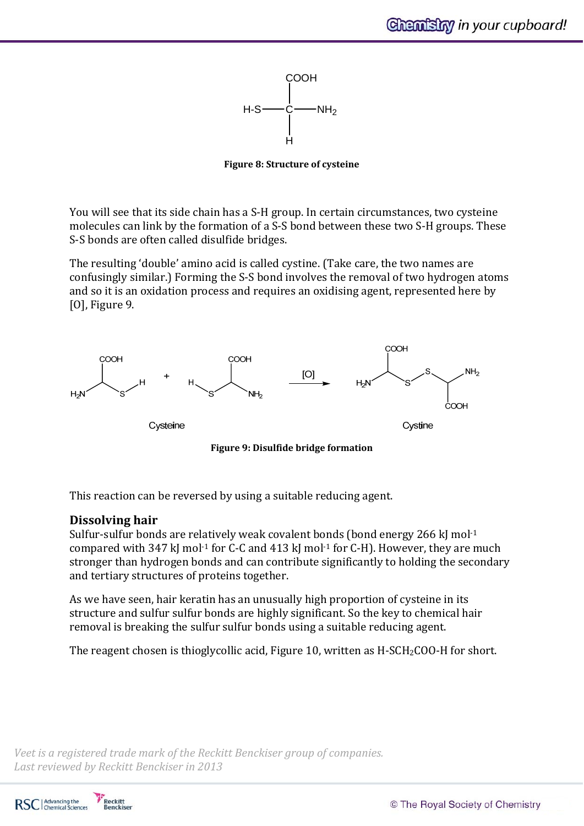

**Figure 8: Structure of cysteine**

You will see that its side chain has a S-H group. In certain circumstances, two cysteine molecules can link by the formation of a S-S bond between these two S-H groups. These S-S bonds are often called disulfide bridges.

The resulting 'double' amino acid is called cystine. (Take care, the two names are confusingly similar.) Forming the S-S bond involves the removal of two hydrogen atoms and so it is an oxidation process and requires an oxidising agent, represented here by  $[0]$ , Figure 9.



**Figure 9: Disulfide bridge formation**

This reaction can be reversed by using a suitable reducing agent.

## **Dissolving hair**

Sulfur-sulfur bonds are relatively weak covalent bonds (bond energy 266 kJ mol $^{-1}$ compared with  $347$  kJ mol<sup>-1</sup> for C-C and  $413$  kJ mol<sup>-1</sup> for C-H). However, they are much stronger than hydrogen bonds and can contribute significantly to holding the secondary and tertiary structures of proteins together.

As we have seen, hair keratin has an unusually high proportion of cysteine in its structure and sulfur sulfur bonds are highly significant. So the key to chemical hair removal is breaking the sulfur sulfur bonds using a suitable reducing agent.

The reagent chosen is thioglycollic acid, Figure 10, written as  $H-SCH_2COO$ -H for short.

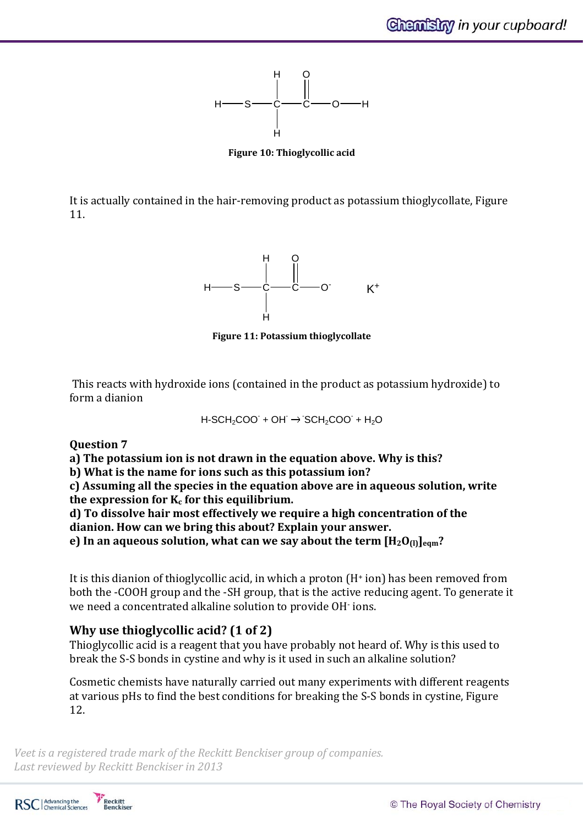

**Figure 10: Thioglycollic acid**

It is actually contained in the hair-removing product as potassium thioglycollate, Figure 11. 



**Figure 11: Potassium thioglycollate**

This reacts with hydroxide ions (contained in the product as potassium hydroxide) to form a dianion

 $H-SCH<sub>2</sub>COO + OH \rightarrow SCH<sub>2</sub>COO + H<sub>2</sub>O$ 

## **Question 7**

**a) The potassium ion is not drawn in the equation above. Why is this? b) What is the name for ions such as this potassium ion? c) Assuming all the species in the equation above are in aqueous solution, write the expression for Kc for this equilibrium. d) To dissolve hair most effectively we require a high concentration of the**

**dianion. How can we bring this about? Explain your answer.**

**e)** In an aqueous solution, what can we say about the term  $[H_2O_{(l)}]_{\text{eam}}$ ?

It is this dianion of thioglycollic acid, in which a proton  $(H<sup>+</sup>$  ion) has been removed from both the -COOH group and the -SH group, that is the active reducing agent. To generate it we need a concentrated alkaline solution to provide OH· ions.

## **Why use thioglycollic acid? (1 of 2)**

Thioglycollic acid is a reagent that you have probably not heard of. Why is this used to break the S-S bonds in cystine and why is it used in such an alkaline solution?

Cosmetic chemists have naturally carried out many experiments with different reagents at various pHs to find the best conditions for breaking the S-S bonds in cystine, Figure 12. 

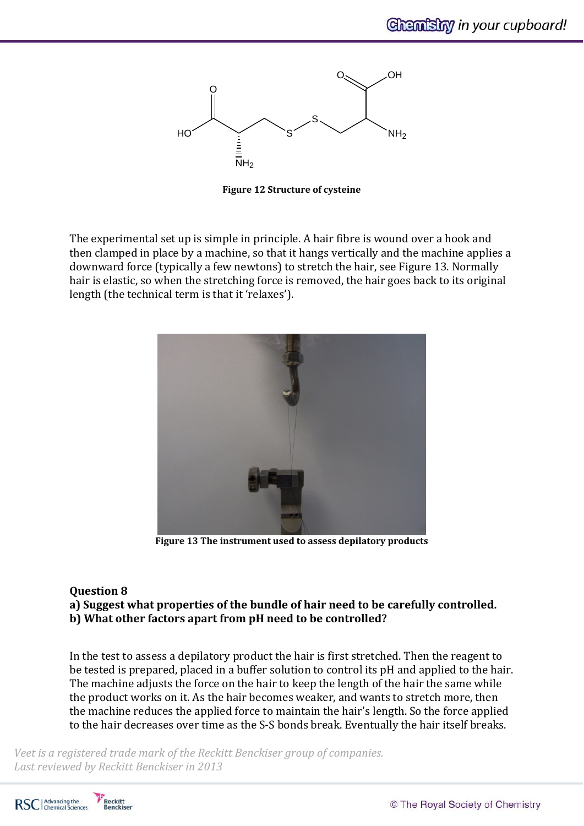

**Figure 12 Structure of cysteine**

The experimental set up is simple in principle. A hair fibre is wound over a hook and then clamped in place by a machine, so that it hangs vertically and the machine applies a downward force (typically a few newtons) to stretch the hair, see Figure 13. Normally hair is elastic, so when the stretching force is removed, the hair goes back to its original length (the technical term is that it 'relaxes').



**Figure 13 The instrument used to assess depilatory products**

#### **Question 8**

**a) Suggest what properties of the bundle of hair need to be carefully controlled. b) What other factors apart from pH need to be controlled?**

In the test to assess a depilatory product the hair is first stretched. Then the reagent to be tested is prepared, placed in a buffer solution to control its pH and applied to the hair. The machine adjusts the force on the hair to keep the length of the hair the same while the product works on it. As the hair becomes weaker, and wants to stretch more, then the machine reduces the applied force to maintain the hair's length. So the force applied to the hair decreases over time as the S-S bonds break. Eventually the hair itself breaks.

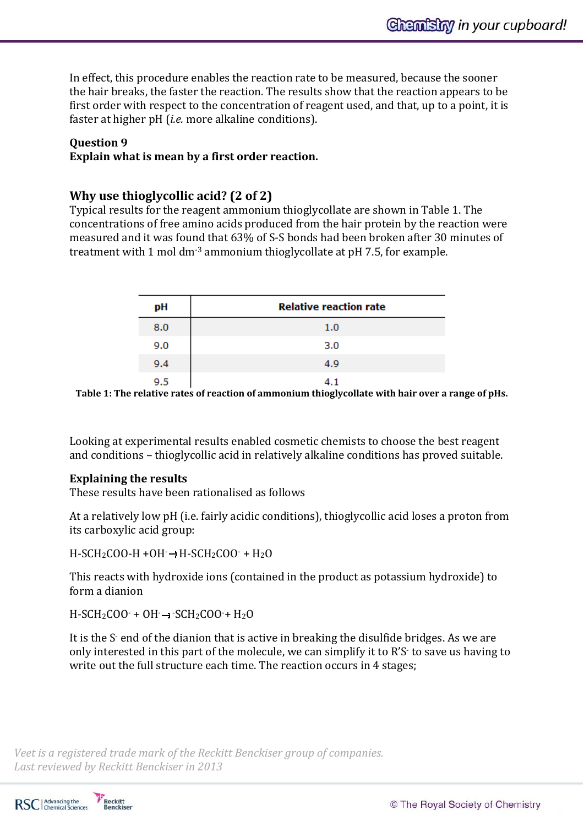In effect, this procedure enables the reaction rate to be measured, because the sooner the hair breaks, the faster the reaction. The results show that the reaction appears to be first order with respect to the concentration of reagent used, and that, up to a point, it is faster at higher pH (*i.e.* more alkaline conditions).

#### **Question 9**

#### **Explain what is mean by a first order reaction.**

#### **Why use thioglycollic acid? (2 of 2)**

Typical results for the reagent ammonium thioglycollate are shown in Table 1. The concentrations of free amino acids produced from the hair protein by the reaction were measured and it was found that 63% of S-S bonds had been broken after 30 minutes of treatment with 1 mol dm<sup>-3</sup> ammonium thioglycollate at  $pH$  7.5, for example.

| pН  | <b>Relative reaction rate</b> |
|-----|-------------------------------|
| 8.0 | 1.0                           |
| 9.0 | 3.0                           |
| 9.4 | 4.9                           |
| 9.5 | 4.1                           |

**Table 1: The relative rates of reaction of ammonium thioglycollate with hair over a range of pHs.**

Looking at experimental results enabled cosmetic chemists to choose the best reagent and conditions - thioglycollic acid in relatively alkaline conditions has proved suitable.

#### **Explaining the results**

These results have been rationalised as follows

At a relatively low pH (i.e. fairly acidic conditions), thioglycollic acid loses a proton from its carboxylic acid group:

 $H-SCH_2COO-H+OH \rightarrow H-SCH_2COO \rightarrow H_2O$ 

This reacts with hydroxide ions (contained in the product as potassium hydroxide) to form a dianion

 $H-SCH_2COO \cdot + OH \rightarrow SCH_2COO \cdot + H_2O$ 

It is the S- end of the dianion that is active in breaking the disulfide bridges. As we are only interested in this part of the molecule, we can simplify it to R'S to save us having to write out the full structure each time. The reaction occurs in 4 stages;

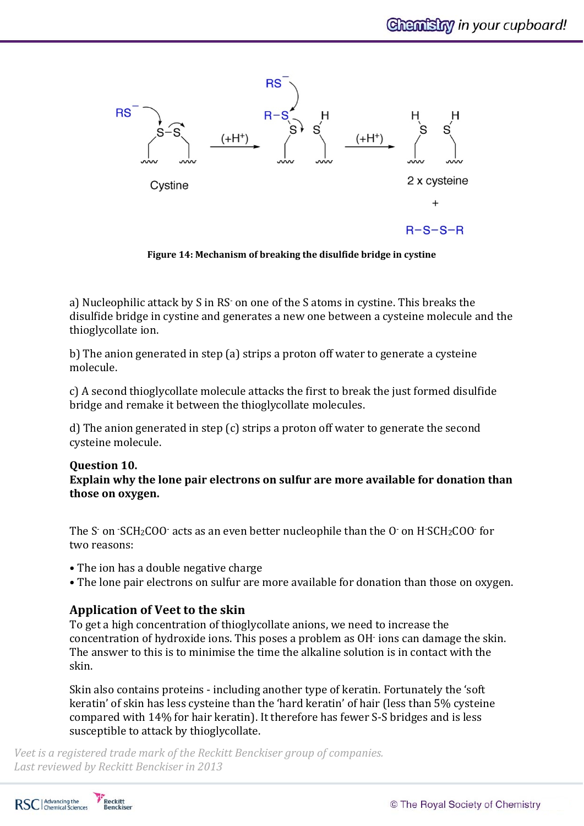

**Figure 14: Mechanism of breaking the disulfide bridge in cystine**

a) Nucleophilic attack by S in RS on one of the S atoms in cystine. This breaks the disulfide bridge in cystine and generates a new one between a cysteine molecule and the thioglycollate ion.

b) The anion generated in step (a) strips a proton off water to generate a cysteine molecule. 

c) A second thioglycollate molecule attacks the first to break the just formed disulfide bridge and remake it between the thioglycollate molecules.

d) The anion generated in step  $(c)$  strips a proton off water to generate the second cysteine molecule.

# **Question 10.**

**Explain why the lone pair electrons on sulfur are more available for donation than those on oxygen.**

The S $\cdot$  on  $\cdot$ SCH<sub>2</sub>COO $\cdot$  acts as an even better nucleophile than the O $\cdot$  on H $\cdot$ SCH<sub>2</sub>COO $\cdot$  for two reasons:

- The ion has a double negative charge
- The lone pair electrons on sulfur are more available for donation than those on oxygen.

## **Application of Veet to the skin**

To get a high concentration of thioglycollate anions, we need to increase the concentration of hydroxide ions. This poses a problem as OH· ions can damage the skin. The answer to this is to minimise the time the alkaline solution is in contact with the skin. 

Skin also contains proteins - including another type of keratin. Fortunately the 'soft keratin' of skin has less cysteine than the 'hard keratin' of hair (less than 5% cysteine compared with 14% for hair keratin). It therefore has fewer S-S bridges and is less susceptible to attack by thioglycollate.

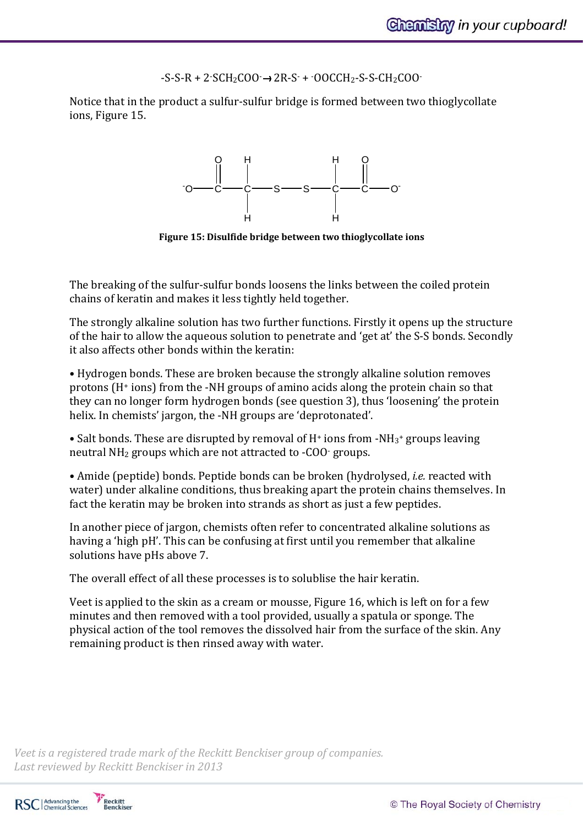$-S-S-R + 2-SCH_2COO \rightarrow 2R-S + 0OCCH_2-S-S-CH_2COO$ 

Notice that in the product a sulfur-sulfur bridge is formed between two thioglycollate ions, Figure 15.



**Figure 15: Disulfide bridge between two thioglycollate ions**

The breaking of the sulfur-sulfur bonds loosens the links between the coiled protein chains of keratin and makes it less tightly held together.

The strongly alkaline solution has two further functions. Firstly it opens up the structure of the hair to allow the aqueous solution to penetrate and 'get at' the S-S bonds. Secondly it also affects other bonds within the keratin:

• Hydrogen bonds. These are broken because the strongly alkaline solution removes protons  $(H<sup>+</sup> ions)$  from the -NH groups of amino acids along the protein chain so that they can no longer form hydrogen bonds (see question 3), thus 'loosening' the protein helix. In chemists' jargon, the -NH groups are 'deprotonated'.

• Salt bonds. These are disrupted by removal of H<sup>+</sup> ions from -NH<sub>3</sub>+ groups leaving neutral  $NH<sub>2</sub>$  groups which are not attracted to -COO $\cdot$  groups.

• Amide (peptide) bonds. Peptide bonds can be broken (hydrolysed, *i.e.* reacted with water) under alkaline conditions, thus breaking apart the protein chains themselves. In fact the keratin may be broken into strands as short as just a few peptides.

In another piece of jargon, chemists often refer to concentrated alkaline solutions as having a 'high pH'. This can be confusing at first until you remember that alkaline solutions have pHs above 7.

The overall effect of all these processes is to solublise the hair keratin.

Veet is applied to the skin as a cream or mousse, Figure 16, which is left on for a few minutes and then removed with a tool provided, usually a spatula or sponge. The physical action of the tool removes the dissolved hair from the surface of the skin. Any remaining product is then rinsed away with water.

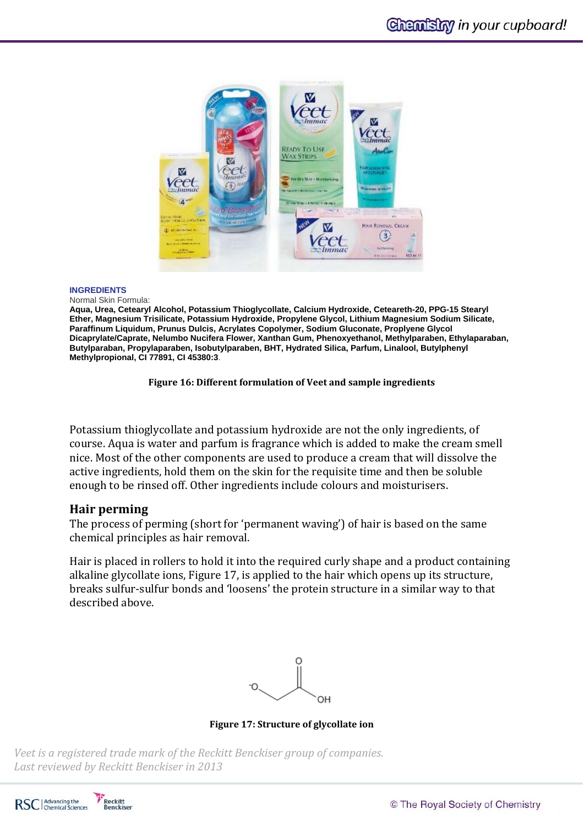

#### **INGREDIENTS**

Normal Skin Formula:

**Aqua, Urea, Cetearyl Alcohol, Potassium Thioglycollate, Calcium Hydroxide, Ceteareth-20, PPG-15 Stearyl Ether, Magnesium Trisilicate, Potassium Hydroxide, Propylene Glycol, Lithium Magnesium Sodium Silicate, Paraffinum Liquidum, Prunus Dulcis, Acrylates Copolymer, Sodium Gluconate, Proplyene Glycol Dicaprylate/Caprate, Nelumbo Nucifera Flower, Xanthan Gum, Phenoxyethanol, Methylparaben, Ethylaparaban, Butylparaban, Propylaparaben, Isobutylparaben, BHT, Hydrated Silica, Parfum, Linalool, Butylphenyl Methylpropional, CI 77891, CI 45380:3**.

**Figure 16: Different formulation of Veet and sample ingredients**

Potassium thioglycollate and potassium hydroxide are not the only ingredients, of course. Aqua is water and parfum is fragrance which is added to make the cream smell nice. Most of the other components are used to produce a cream that will dissolve the active ingredients, hold them on the skin for the requisite time and then be soluble enough to be rinsed off. Other ingredients include colours and moisturisers.

## **Hair perming**

The process of perming (short for 'permanent waving') of hair is based on the same chemical principles as hair removal.

Hair is placed in rollers to hold it into the required curly shape and a product containing alkaline glycollate ions, Figure 17, is applied to the hair which opens up its structure, breaks sulfur-sulfur bonds and 'loosens' the protein structure in a similar way to that described above.



**Figure 17: Structure of glycollate ion**

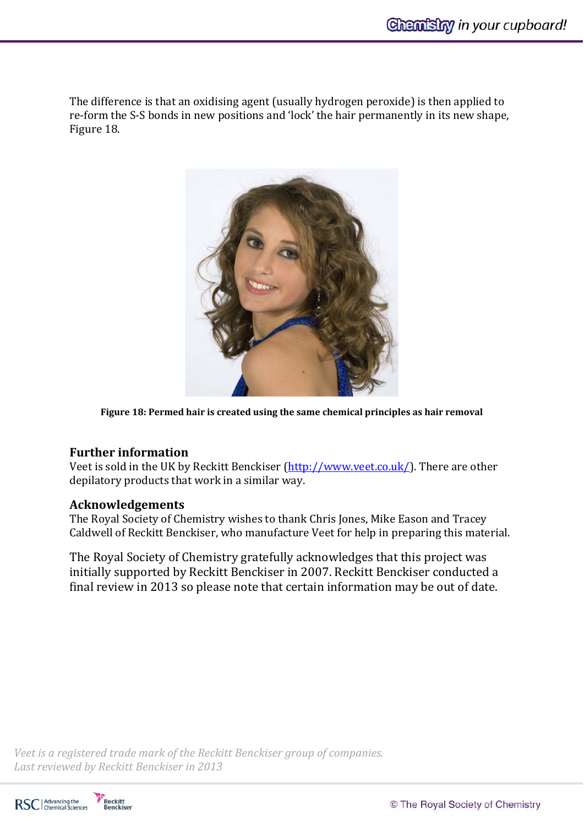The difference is that an oxidising agent (usually hydrogen peroxide) is then applied to re-form the S-S bonds in new positions and 'lock' the hair permanently in its new shape, Figure 18.



**Figure 18: Permed hair is created using the same chemical principles as hair removal**

## **Further information**

Veet is sold in the UK by Reckitt Benckiser  $\frac{http://www.veet.co.uk/}{http://www.veet.co.uk/}{$ . There are other depilatory products that work in a similar way.

#### **Acknowledgements**

The Royal Society of Chemistry wishes to thank Chris Jones, Mike Eason and Tracey Caldwell of Reckitt Benckiser, who manufacture Veet for help in preparing this material.

The Royal Society of Chemistry gratefully acknowledges that this project was initially supported by Reckitt Benckiser in 2007. Reckitt Benckiser conducted a final review in 2013 so please note that certain information may be out of date.

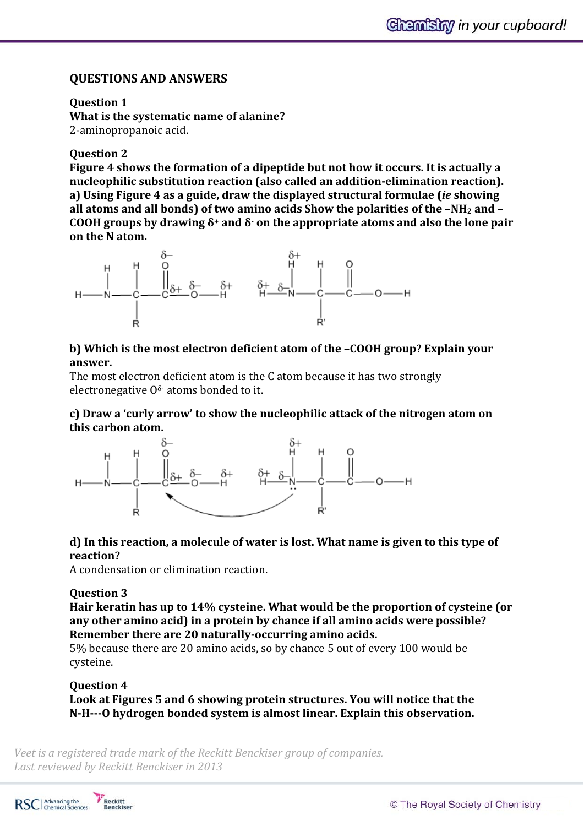## **QUESTIONS AND ANSWERS**

**Question 1**

**What is the systematic name of alanine?** 2-aminopropanoic acid.

## **Question 2**

**Figure 4 shows the formation of a dipeptide but not how it occurs. It is actually a nucleophilic substitution reaction (also called an addition‐elimination reaction). a) Using Figure 4 as a guide, draw the displayed structural formulae (***ie* **showing all atoms and all bonds) of two amino acids Show the polarities of the –NH2 and – COOH groups by drawing δ<sup>+</sup> and δ‐ on the appropriate atoms and also the lone pair on** the N atom.



## **b) Which is the most electron deficient atom of the –COOH group? Explain your** answer.

The most electron deficient atom is the C atom because it has two strongly electronegative  $0^{\delta}$  atoms bonded to it.

## **c) Draw a 'curly arrow' to show the nucleophilic attack of the nitrogen atom on this carbon atom.**



## **d) In this reaction, a molecule of water is lost. What name is given to this type of reaction?**

A condensation or elimination reaction.

## **Question 3**

**Hair keratin has up to 14% cysteine. What would be the proportion of cysteine (or any other amino acid) in a protein by chance if all amino acids were possible? Remember there are 20 naturally‐occurring amino acids.**

5% because there are 20 amino acids, so by chance 5 out of every 100 would be cysteine.

## **Question 4**

**Look at Figures 5 and 6 showing protein structures. You will notice that the N‐H‐‐‐O hydrogen bonded system is almost linear. Explain this observation.**

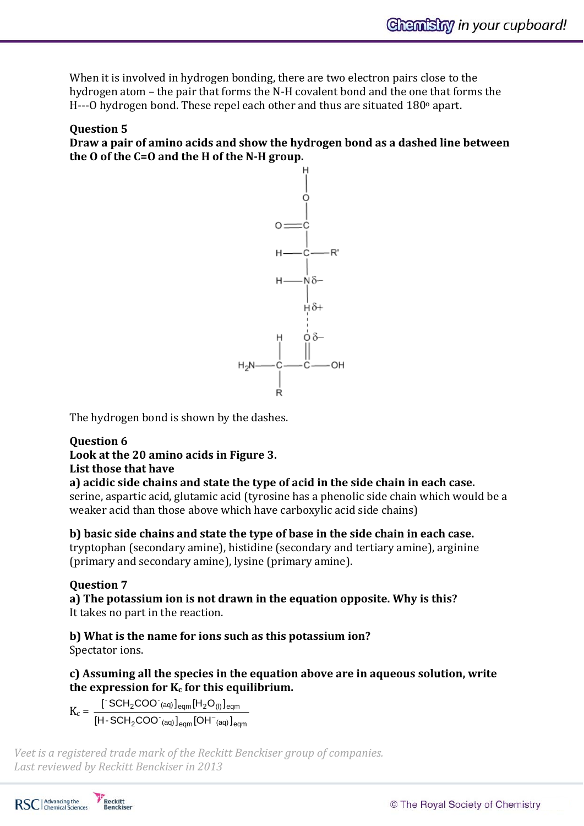When it is involved in hydrogen bonding, there are two electron pairs close to the hydrogen atom – the pair that forms the N-H covalent bond and the one that forms the H---O hydrogen bond. These repel each other and thus are situated  $180^\circ$  apart.

#### **Question 5**

**Draw a pair of amino acids and show the hydrogen bond as a dashed line between the O of the C=O and the H of the N‐H group.**



The hydrogen bond is shown by the dashes.

# **Question 6**

**Look at the 20 amino acids in Figure 3.** 

## **List those that have**

**a) acidic side chains and state the type of acid in the side chain in each case.** serine, aspartic acid, glutamic acid (tyrosine has a phenolic side chain which would be a weaker acid than those above which have carboxylic acid side chains)

**b) basic side chains and state the type of base in the side chain in each case.**

tryptophan (secondary amine), histidine (secondary and tertiary amine), arginine (primary and secondary amine), lysine (primary amine).

## **Question 7**

**a) The potassium ion is not drawn in the equation opposite. Why is this?**  It takes no part in the reaction.

**b) What is the name for ions such as this potassium ion?** Spectator ions.

**c) Assuming all the species in the equation above are in aqueous solution, write the expression for Kc for this equilibrium.**

 $K_c =$  $_{2}$ COO $^{\degree}$ (aq) $\rm{]}_{\rm eqm}$ [OH $^{\degree}$ (aq) $\rm{]}_{\rm eqm}$  $\text{CCH}_2$ COO $\text{C(aq)}$   $\text{logm}$   $\text{[H}_2\text{O}_0$   $\text{logm}$  $[H-SCH<sub>2</sub>COO<sup>-</sup>(aq)]<sub>ecm</sub>[OH<sup>-</sup>(aq)]$  $\left[$  SCH<sub>2</sub>COO (aq)  $\right]$ <sub>eqm</sub> $\left[$ H<sub>2</sub>O<sub>(l)</sub> $\right]$ -